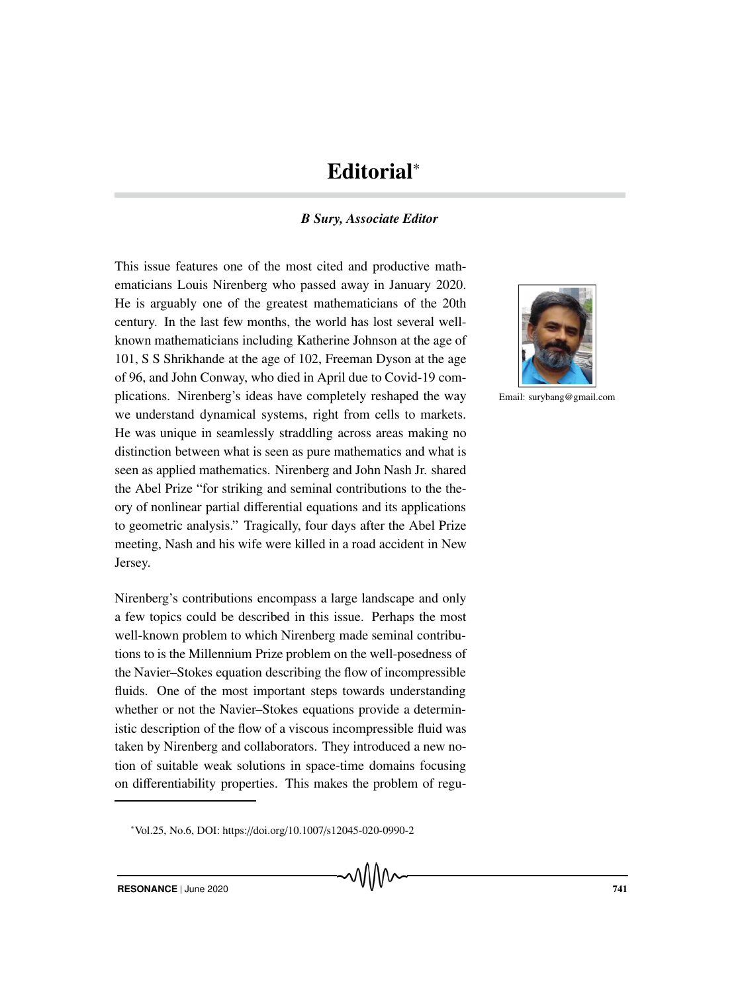## Editorial<sup>∗</sup>

## *B Sury, Associate Editor*

This issue features one of the most cited and productive mathematicians Louis Nirenberg who passed away in January 2020. He is arguably one of the greatest mathematicians of the 20th century. In the last few months, the world has lost several wellknown mathematicians including Katherine Johnson at the age of 101, S S Shrikhande at the age of 102, Freeman Dyson at the age of 96, and John Conway, who died in April due to Covid-19 complications. Nirenberg's ideas have completely reshaped the way we understand dynamical systems, right from cells to markets. He was unique in seamlessly straddling across areas making no distinction between what is seen as pure mathematics and what is seen as applied mathematics. Nirenberg and John Nash Jr. shared the Abel Prize "for striking and seminal contributions to the theory of nonlinear partial differential equations and its applications to geometric analysis." Tragically, four days after the Abel Prize meeting, Nash and his wife were killed in a road accident in New Jersey.

Nirenberg's contributions encompass a large landscape and only a few topics could be described in this issue. Perhaps the most well-known problem to which Nirenberg made seminal contributions to is the Millennium Prize problem on the well-posedness of the Navier–Stokes equation describing the flow of incompressible fluids. One of the most important steps towards understanding whether or not the Navier–Stokes equations provide a deterministic description of the flow of a viscous incompressible fluid was taken by Nirenberg and collaborators. They introduced a new notion of suitable weak solutions in space-time domains focusing on differentiability properties. This makes the problem of regu-

vWv



Email: surybang@gmail.com

<sup>∗</sup> Vol.25, No.6, DOI: https://doi.org/10.1007/s12045-020-0990-2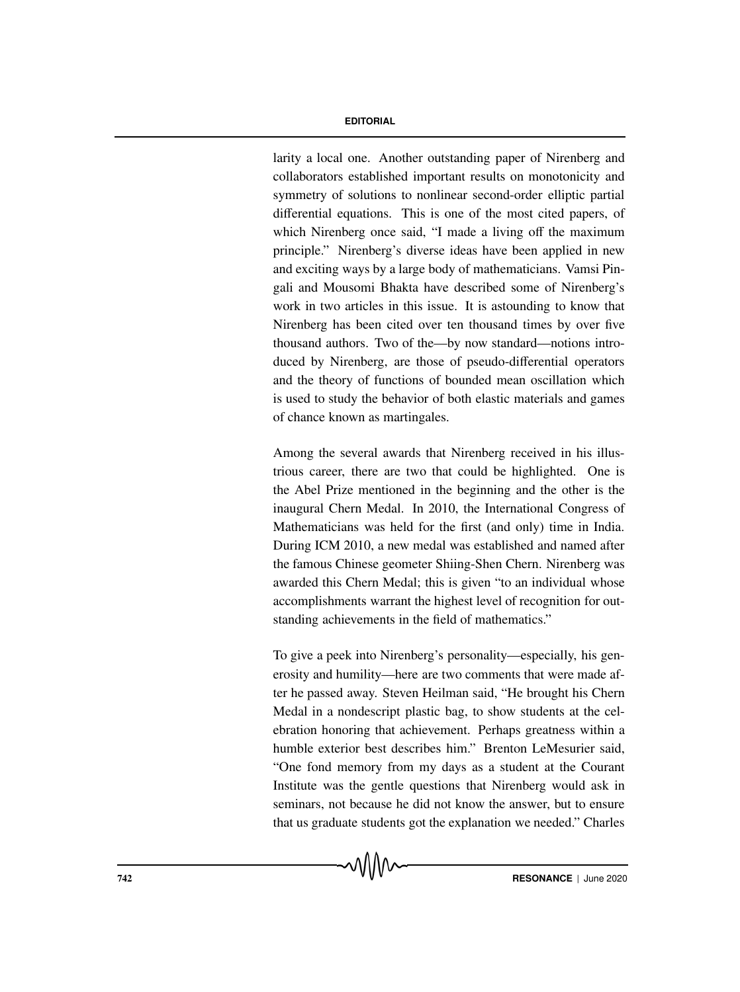## **EDITORIAL**

larity a local one. Another outstanding paper of Nirenberg and collaborators established important results on monotonicity and symmetry of solutions to nonlinear second-order elliptic partial differential equations. This is one of the most cited papers, of which Nirenberg once said, "I made a living off the maximum principle." Nirenberg's diverse ideas have been applied in new and exciting ways by a large body of mathematicians. Vamsi Pingali and Mousomi Bhakta have described some of Nirenberg's work in two articles in this issue. It is astounding to know that Nirenberg has been cited over ten thousand times by over five thousand authors. Two of the—by now standard—notions introduced by Nirenberg, are those of pseudo-differential operators and the theory of functions of bounded mean oscillation which is used to study the behavior of both elastic materials and games of chance known as martingales.

Among the several awards that Nirenberg received in his illustrious career, there are two that could be highlighted. One is the Abel Prize mentioned in the beginning and the other is the inaugural Chern Medal. In 2010, the International Congress of Mathematicians was held for the first (and only) time in India. During ICM 2010, a new medal was established and named after the famous Chinese geometer Shiing-Shen Chern. Nirenberg was awarded this Chern Medal; this is given "to an individual whose accomplishments warrant the highest level of recognition for outstanding achievements in the field of mathematics."

To give a peek into Nirenberg's personality—especially, his generosity and humility—here are two comments that were made after he passed away. Steven Heilman said, "He brought his Chern Medal in a nondescript plastic bag, to show students at the celebration honoring that achievement. Perhaps greatness within a humble exterior best describes him." Brenton LeMesurier said, "One fond memory from my days as a student at the Courant Institute was the gentle questions that Nirenberg would ask in seminars, not because he did not know the answer, but to ensure that us graduate students got the explanation we needed." Charles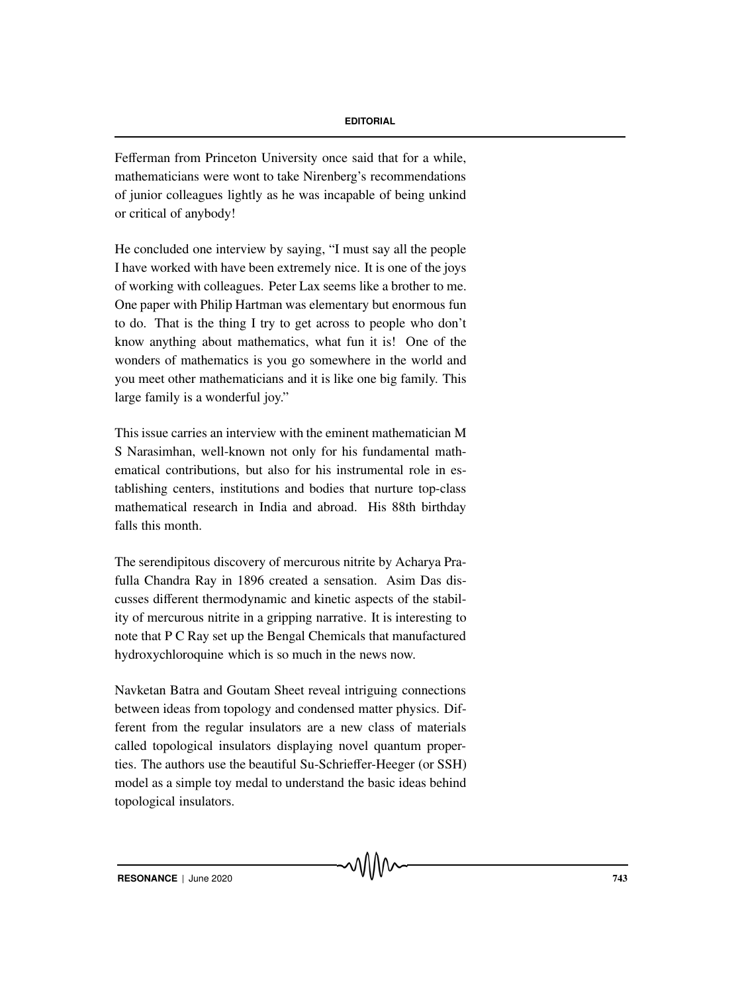Fefferman from Princeton University once said that for a while, mathematicians were wont to take Nirenberg's recommendations of junior colleagues lightly as he was incapable of being unkind or critical of anybody!

He concluded one interview by saying, "I must say all the people I have worked with have been extremely nice. It is one of the joys of working with colleagues. Peter Lax seems like a brother to me. One paper with Philip Hartman was elementary but enormous fun to do. That is the thing I try to get across to people who don't know anything about mathematics, what fun it is! One of the wonders of mathematics is you go somewhere in the world and you meet other mathematicians and it is like one big family. This large family is a wonderful joy."

This issue carries an interview with the eminent mathematician M S Narasimhan, well-known not only for his fundamental mathematical contributions, but also for his instrumental role in establishing centers, institutions and bodies that nurture top-class mathematical research in India and abroad. His 88th birthday falls this month.

The serendipitous discovery of mercurous nitrite by Acharya Prafulla Chandra Ray in 1896 created a sensation. Asim Das discusses different thermodynamic and kinetic aspects of the stability of mercurous nitrite in a gripping narrative. It is interesting to note that P C Ray set up the Bengal Chemicals that manufactured hydroxychloroquine which is so much in the news now.

Navketan Batra and Goutam Sheet reveal intriguing connections between ideas from topology and condensed matter physics. Different from the regular insulators are a new class of materials called topological insulators displaying novel quantum properties. The authors use the beautiful Su-Schrieffer-Heeger (or SSH) model as a simple toy medal to understand the basic ideas behind topological insulators.

MMM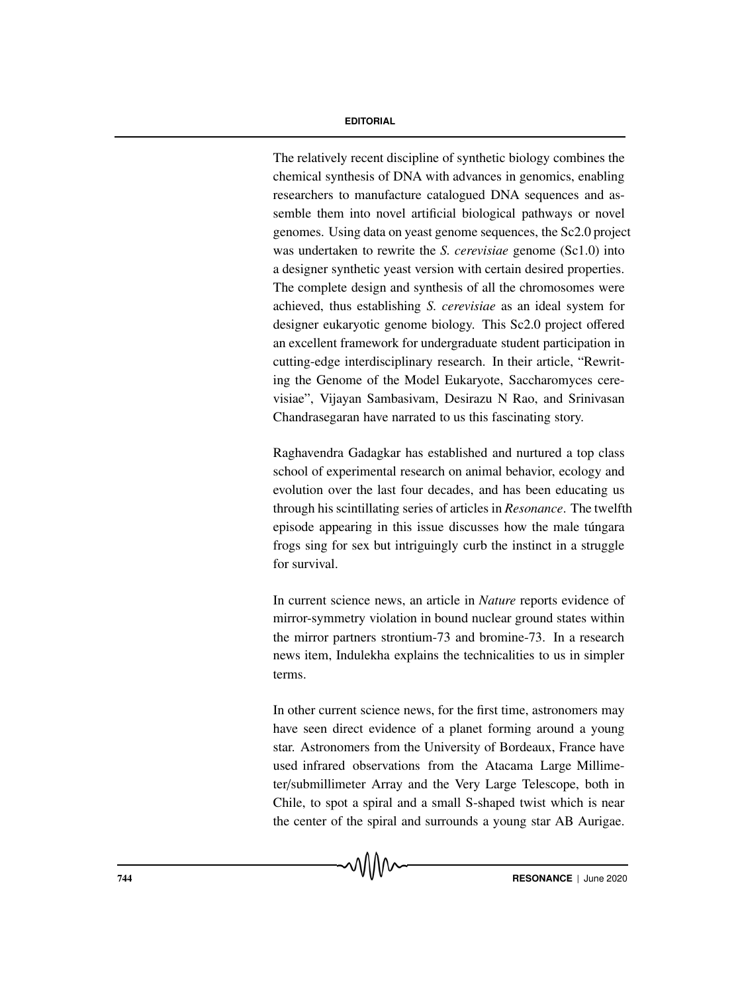## **EDITORIAL**

The relatively recent discipline of synthetic biology combines the chemical synthesis of DNA with advances in genomics, enabling researchers to manufacture catalogued DNA sequences and assemble them into novel artificial biological pathways or novel genomes. Using data on yeast genome sequences, the Sc2.0 project was undertaken to rewrite the *S. cerevisiae* genome (Sc1.0) into a designer synthetic yeast version with certain desired properties. The complete design and synthesis of all the chromosomes were achieved, thus establishing *S. cerevisiae* as an ideal system for designer eukaryotic genome biology. This Sc2.0 project offered an excellent framework for undergraduate student participation in cutting-edge interdisciplinary research. In their article, "Rewriting the Genome of the Model Eukaryote, Saccharomyces cerevisiae", Vijayan Sambasivam, Desirazu N Rao, and Srinivasan Chandrasegaran have narrated to us this fascinating story.

Raghavendra Gadagkar has established and nurtured a top class school of experimental research on animal behavior, ecology and evolution over the last four decades, and has been educating us through his scintillating series of articles in *Resonance*. The twelfth episode appearing in this issue discusses how the male tungara frogs sing for sex but intriguingly curb the instinct in a struggle for survival.

In current science news, an article in *Nature* reports evidence of mirror-symmetry violation in bound nuclear ground states within the mirror partners strontium-73 and bromine-73. In a research news item, Indulekha explains the technicalities to us in simpler terms.

In other current science news, for the first time, astronomers may have seen direct evidence of a planet forming around a young star. Astronomers from the University of Bordeaux, France have used infrared observations from the Atacama Large Millimeter/submillimeter Array and the Very Large Telescope, both in Chile, to spot a spiral and a small S-shaped twist which is near the center of the spiral and surrounds a young star AB Aurigae.